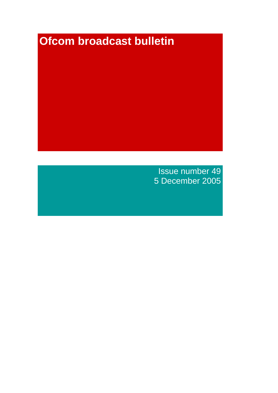# **Ofcom broadcast bulletin**

Issue number 49 5 December 2005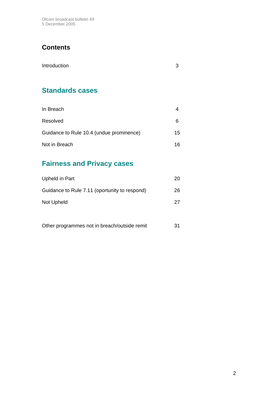Ofcom broadcast bulletin 49 5 December 2005

# **Contents**

| Introduction |  |
|--------------|--|
|              |  |

# **Standards cases**

| In Breach                                |     |
|------------------------------------------|-----|
| Resolved                                 | 6   |
| Guidance to Rule 10.4 (undue prominence) | 15  |
| Not in Breach                            | 16. |

# **Fairness and Privacy cases**

| Upheld in Part                                | 20 |
|-----------------------------------------------|----|
| Guidance to Rule 7.11 (oportunity to respond) | 26 |
| Not Upheld                                    | 27 |
|                                               |    |

| Other programmes not in breach/outside remit |  |
|----------------------------------------------|--|
|----------------------------------------------|--|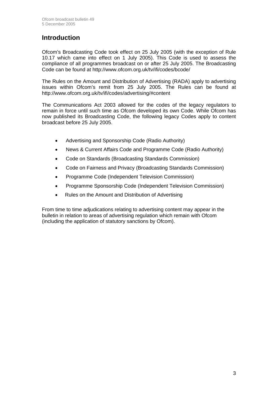# **Introduction**

Ofcom's Broadcasting Code took effect on 25 July 2005 (with the exception of Rule 10.17 which came into effect on 1 July 2005). This Code is used to assess the compliance of all programmes broadcast on or after 25 July 2005. The Broadcasting Code can be found at http://www.ofcom.org.uk/tv/ifi/codes/bcode/

The Rules on the Amount and Distribution of Advertising (RADA) apply to advertising issues within Ofcom's remit from 25 July 2005. The Rules can be found at http://www.ofcom.org.uk/tv/ifi/codes/advertising/#content

The Communications Act 2003 allowed for the codes of the legacy regulators to remain in force until such time as Ofcom developed its own Code. While Ofcom has now published its Broadcasting Code, the following legacy Codes apply to content broadcast before 25 July 2005.

- Advertising and Sponsorship Code (Radio Authority)
- News & Current Affairs Code and Programme Code (Radio Authority)
- Code on Standards (Broadcasting Standards Commission)
- Code on Fairness and Privacy (Broadcasting Standards Commission)
- Programme Code (Independent Television Commission)
- Programme Sponsorship Code (Independent Television Commission)
- Rules on the Amount and Distribution of Advertising

From time to time adjudications relating to advertising content may appear in the bulletin in relation to areas of advertising regulation which remain with Ofcom (including the application of statutory sanctions by Ofcom).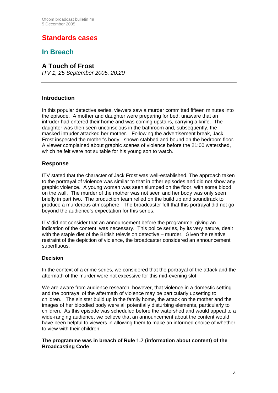# **Standards cases**

# **In Breach**

### **A Touch of Frost**

*ITV 1, 25 September 2005, 20:20*

#### **Introduction**

In this popular detective series, viewers saw a murder committed fifteen minutes into the episode. A mother and daughter were preparing for bed, unaware that an intruder had entered their home and was coming upstairs, carrying a knife. The daughter was then seen unconscious in the bathroom and, subsequently, the masked intruder attacked her mother. Following the advertisement break, Jack Frost inspected the mother's body - shown stabbed and bound on the bedroom floor. A viewer complained about graphic scenes of violence before the 21:00 watershed, which he felt were not suitable for his young son to watch.

#### **Response**

ITV stated that the character of Jack Frost was well-established. The approach taken to the portrayal of violence was similar to that in other episodes and did not show any graphic violence. A young woman was seen slumped on the floor, with some blood on the wall. The murder of the mother was not seen and her body was only seen briefly in part two. The production team relied on the build up and soundtrack to produce a murderous atmosphere. The broadcaster felt that this portrayal did not go beyond the audience's expectation for this series.

ITV did not consider that an announcement before the programme, giving an indication of the content, was necessary. This police series, by its very nature, dealt with the staple diet of the British television detective – murder. Given the relative restraint of the depiction of violence, the broadcaster considered an announcement superfluous.

#### **Decision**

In the context of a crime series, we considered that the portrayal of the attack and the aftermath of the murder were not excessive for this mid-evening slot.

We are aware from audience research, however, that violence in a domestic setting and the portrayal of the aftermath of violence may be particularly upsetting to children. The sinister build up in the family home, the attack on the mother and the images of her bloodied body were all potentially disturbing elements, particularly to children. As this episode was scheduled before the watershed and would appeal to a wide-ranging audience, we believe that an announcement about the content would have been helpful to viewers in allowing them to make an informed choice of whether to view with their children.

#### **The programme was in breach of Rule 1.7 (information about content) of the Broadcasting Code**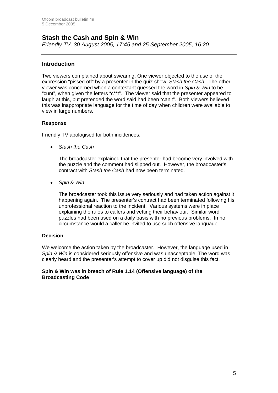## **Stash the Cash and Spin & Win**

*Friendly TV, 30 August 2005, 17:45 and 25 September 2005, 16:20*

#### **Introduction**

Two viewers complained about swearing. One viewer objected to the use of the expression "pissed off" by a presenter in the quiz show, *Stash the Cash*. The other viewer was concerned when a contestant guessed the word in *Spin & Win* to be "cunt", when given the letters "c\*\*t". The viewer said that the presenter appeared to laugh at this, but pretended the word said had been "can't". Both viewers believed this was inappropriate language for the time of day when children were available to view in large numbers.

#### **Response**

Friendly TV apologised for both incidences.

• *Stash the Cash* 

The broadcaster explained that the presenter had become very involved with the puzzle and the comment had slipped out. However, the broadcaster's contract with *Stash the Cash* had now been terminated.

• *Spin & Win*

The broadcaster took this issue very seriously and had taken action against it happening again. The presenter's contract had been terminated following his unprofessional reaction to the incident. Various systems were in place explaining the rules to callers and vetting their behaviour. Similar word puzzles had been used on a daily basis with no previous problems. In no circumstance would a caller be invited to use such offensive language.

#### **Decision**

We welcome the action taken by the broadcaster. However, the language used in *Spin & Win* is considered seriously offensive and was unacceptable. The word was clearly heard and the presenter's attempt to cover up did not disguise this fact.

#### **Spin & Win was in breach of Rule 1.14 (Offensive language) of the Broadcasting Code**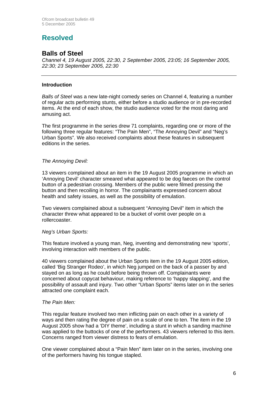# **Resolved**

## **Balls of Steel**

*Channel 4, 19 August 2005, 22:30, 2 September 2005, 23:05; 16 September 2005, 22:30; 23 September 2005, 22:30*

#### **Introduction**

*Balls of Steel* was a new late-night comedy series on Channel 4, featuring a number of regular acts performing stunts, either before a studio audience or in pre-recorded items. At the end of each show, the studio audience voted for the most daring and amusing act.

The first programme in the series drew 71 complaints, regarding one or more of the following three regular features: "The Pain Men", "The Annoying Devil" and "Neg's Urban Sports". We also received complaints about these features in subsequent editions in the series.

#### *The Annoying Devil:*

13 viewers complained about an item in the 19 August 2005 programme in which an 'Annoying Devil' character smeared what appeared to be dog faeces on the control button of a pedestrian crossing. Members of the public were filmed pressing the button and then recoiling in horror. The complainants expressed concern about health and safety issues, as well as the possibility of emulation.

Two viewers complained about a subsequent "Annoying Devil" item in which the character threw what appeared to be a bucket of vomit over people on a rollercoaster.

#### *Neg's Urban Sports:*

This feature involved a young man, Neg, inventing and demonstrating new 'sports', involving interaction with members of the public.

40 viewers complained about the Urban Sports item in the 19 August 2005 edition, called 'Big Stranger Rodeo', in which Neg jumped on the back of a passer by and stayed on as long as he could before being thrown off. Complainants were concerned about copycat behaviour, making reference to 'happy slapping', and the possibility of assault and injury. Two other "Urban Sports" items later on in the series attracted one complaint each.

#### *The Pain Men:*

This regular feature involved two men inflicting pain on each other in a variety of ways and then rating the degree of pain on a scale of one to ten. The item in the 19 August 2005 show had a 'DIY theme', including a stunt in which a sanding machine was applied to the buttocks of one of the performers. 43 viewers referred to this item. Concerns ranged from viewer distress to fears of emulation.

One viewer complained about a "Pain Men" item later on in the series, involving one of the performers having his tongue stapled.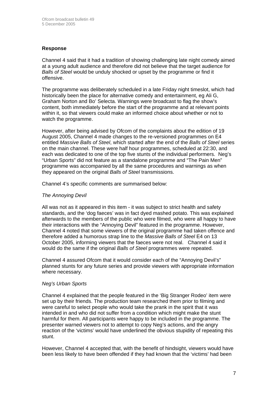#### **Response**

Channel 4 said that it had a tradition of showing challenging late night comedy aimed at a young adult audience and therefore did not believe that the target audience for *Balls of Steel* would be unduly shocked or upset by the programme or find it offensive.

The programme was deliberately scheduled in a late Friday night timeslot, which had historically been the place for alternative comedy and entertainment, eg Ali G, Graham Norton and Bo' Selecta. Warnings were broadcast to flag the show's content, both immediately before the start of the programme and at relevant points within it, so that viewers could make an informed choice about whether or not to watch the programme.

However, after being advised by Ofcom of the complaints about the edition of 19 August 2005, Channel 4 made changes to the re-versioned programmes on E4 entitled *Massive Balls of Steel*, which started after the end of the *Balls of Steel* series on the main channel. These were half hour programmes, scheduled at 22:30, and each was dedicated to one of the top five stunts of the individual performers. Neg's "Urban Sports" did not feature as a standalone programme and "The Pain Men" programme was accompanied by all the same procedures and warnings as when they appeared on the original *Balls of Steel* transmissions.

Channel 4's specific comments are summarised below:

#### *The Annoying Devil*

All was not as it appeared in this item - it was subject to strict health and safety standards, and the 'dog faeces' was in fact dyed mashed potato. This was explained afterwards to the members of the public who were filmed, who were all happy to have their interactions with the "Annoying Devil" featured in the programme. However, Channel 4 noted that some viewers of the original programme had taken offence and therefore added a humorous strap line to the *Massive Balls of Steel* E4 on 13 October 2005, informing viewers that the faeces were not real. Channel 4 said it would do the same if the original *Balls of Steel* programmes were repeated.

Channel 4 assured Ofcom that it would consider each of the "Annoying Devil's" planned stunts for any future series and provide viewers with appropriate information where necessary.

#### *Neg's Urban Sports*

Channel 4 explained that the people featured in the 'Big Stranger Rodeo' item were set up by their friends. The production team researched them prior to filming and were careful to select people who would take the prank in the spirit that it was intended in and who did not suffer from a condition which might make the stunt harmful for them. All participants were happy to be included in the programme. The presenter warned viewers not to attempt to copy Neg's actions, and the angry reaction of the 'victims' would have underlined the obvious stupidity of repeating this stunt.

However, Channel 4 accepted that, with the benefit of hindsight, viewers would have been less likely to have been offended if they had known that the 'victims' had been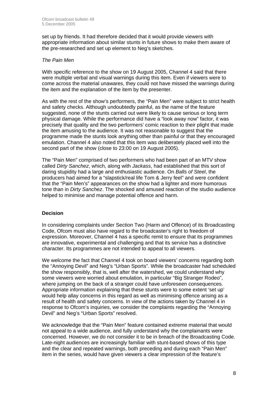set up by friends. It had therefore decided that it would provide viewers with appropriate information about similar stunts in future shows to make them aware of the pre-researched and set up element to Neg's sketches.

#### *The Pain Men*

With specific reference to the show on 19 August 2005, Channel 4 said that there were multiple verbal and visual warnings during this item. Even if viewers were to come across the material unawares, they could not have missed the warnings during the item and the explanation of the item by the presenter.

As with the rest of the show's performers, the "Pain Men" were subject to strict health and safety checks. Although undoubtedly painful, as the name of the feature suggested, none of the stunts carried out were likely to cause serious or long term physical damage. While the performance did have a "look away now" factor, it was precisely that quality and the two performers' comic reaction to their plight that made the item amusing to the audience. It was not reasonable to suggest that the programme made the stunts look anything other than painful or that they encouraged emulation. Channel 4 also noted that this item was deliberately placed well into the second part of the show (close to 23:00 on 19 August 2005).

The "Pain Men" comprised of two performers who had been part of an MTV show called *Dirty Sanchez*, which, along with *Jackass*, had established that this sort of daring stupidity had a large and enthusiastic audience. On *Balls of Steel*, the producers had aimed for a "slapstick/real life Tom & Jerry feel" and were confident that the "Pain Men's" appearances on the show had a lighter and more humorous tone than in *Dirty Sanchez*. The shocked and amused reaction of the studio audience helped to minimise and manage potential offence and harm.

#### **Decision**

In considering complaints under Section Two (Harm and Offence) of its Broadcasting Code, Ofcom must also have regard to the broadcaster's right to freedom of expression. Moreover, Channel 4 has a specific remit to ensure that its programmes are innovative, experimental and challenging and that its service has a distinctive character. Its programmes are not intended to appeal to all viewers.

We welcome the fact that Channel 4 took on board viewers' concerns regarding both the "Annoying Devil" and Neg's "Urban Sports". While the broadcaster had scheduled the show responsibly, that is, well after the watershed, we could understand why some viewers were worried about emulation, in particular "Big Stranger Rodeo", where jumping on the back of a stranger could have unforeseen consequences. Appropriate information explaining that these stunts were to some extent 'set up' would help allay concerns in this regard as well as minimising offence arising as a result of health and safety concerns. In view of the actions taken by Channel 4 in response to Ofcom's inquiries, we consider the complaints regarding the "Annoying Devil" and Neg's "Urban Sports" resolved.

We acknowledge that the "Pain Men" feature contained extreme material that would not appeal to a wide audience, and fully understand why the complainants were concerned. However, we do not consider it to be in breach of the Broadcasting Code. Late-night audiences are increasingly familiar with stunt-based shows of this type and the clear and repeated warnings, both preceding and during each "Pain Men" item in the series, would have given viewers a clear impression of the feature's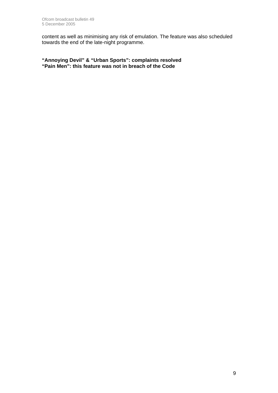content as well as minimising any risk of emulation. The feature was also scheduled towards the end of the late-night programme.

**"Annoying Devil" & "Urban Sports": complaints resolved "Pain Men": this feature was not in breach of the Code**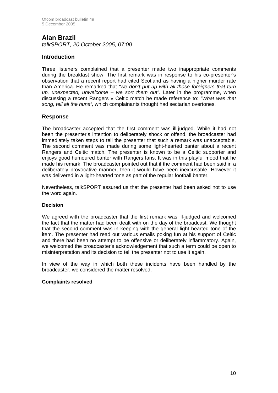# **Alan Brazil**

*talkSPORT, 20 October 2005, 07:00* 

#### **Introduction**

Three listeners complained that a presenter made two inappropriate comments during the breakfast show. The first remark was in response to his co-presenter's observation that a recent report had cited Scotland as having a higher murder rate than America. He remarked that *"we don't put up with all those foreigners that turn up, unexpected, unwelcome – we sort them out".* Later in the programme, when discussing a recent Rangers v Celtic match he made reference to: *"What was that song, tell all the huns",* which complainants thought had sectarian overtones.

#### **Response**

The broadcaster accepted that the first comment was ill-judged. While it had not been the presenter's intention to deliberately shock or offend, the broadcaster had immediately taken steps to tell the presenter that such a remark was unacceptable. The second comment was made during some light-hearted banter about a recent Rangers and Celtic match. The presenter is known to be a Celtic supporter and enjoys good humoured banter with Rangers fans. It was in this playful mood that he made his remark. The broadcaster pointed out that if the comment had been said in a deliberately provocative manner, then it would have been inexcusable. However it was delivered in a light-hearted tone as part of the regular football banter.

Nevertheless, talkSPORT assured us that the presenter had been asked not to use the word again.

#### **Decision**

We agreed with the broadcaster that the first remark was ill-judged and welcomed the fact that the matter had been dealt with on the day of the broadcast. We thought that the second comment was in keeping with the general light hearted tone of the item. The presenter had read out various emails poking fun at his support of Celtic and there had been no attempt to be offensive or deliberately inflammatory. Again, we welcomed the broadcaster's acknowledgement that such a term could be open to misinterpretation and its decision to tell the presenter not to use it again.

In view of the way in which both these incidents have been handled by the broadcaster, we considered the matter resolved.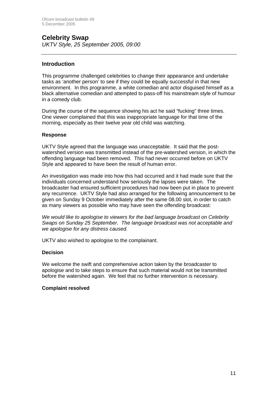#### **Celebrity Swap**  *UKTV Style, 25 September 2005, 09:00*

#### **Introduction**

This programme challenged celebrities to change their appearance and undertake tasks as 'another person' to see if they could be equally successful in that new environment. In this programme, a white comedian and actor disguised himself as a black alternative comedian and attempted to pass-off his mainstream style of humour in a comedy club.

During the course of the sequence showing his act he said "fucking" three times. One viewer complained that this was inappropriate language for that time of the morning, especially as their twelve year old child was watching.

#### **Response**

UKTV Style agreed that the language was unacceptable. It said that the postwatershed version was transmitted instead of the pre-watershed version, in which the offending language had been removed. This had never occurred before on UKTV Style and appeared to have been the result of human error.

An investigation was made into how this had occurred and it had made sure that the individuals concerned understand how seriously the lapses were taken. The broadcaster had ensured sufficient procedures had now been put in place to prevent any recurrence. UKTV Style had also arranged for the following announcement to be given on Sunday 9 October immediately after the same 08.00 slot, in order to catch as many viewers as possible who may have seen the offending broadcast:

*We would like to apologise to viewers for the bad language broadcast on Celebrity Swaps on Sunday 25 September. The language broadcast was not acceptable and we apologise for any distress caused.* 

UKTV also wished to apologise to the complainant.

#### **Decision**

We welcome the swift and comprehensive action taken by the broadcaster to apologise and to take steps to ensure that such material would not be transmitted before the watershed again. We feel that no further intervention is necessary.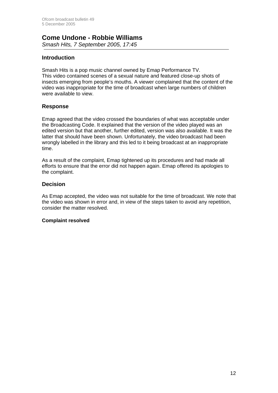#### **Come Undone - Robbie Williams**  *Smash Hits, 7 September 2005, 17:45*

#### **Introduction**

Smash Hits is a pop music channel owned by Emap Performance TV. This video contained scenes of a sexual nature and featured close-up shots of insects emerging from people's mouths. A viewer complained that the content of the video was inappropriate for the time of broadcast when large numbers of children were available to view.

#### **Response**

Emap agreed that the video crossed the boundaries of what was acceptable under the Broadcasting Code. It explained that the version of the video played was an edited version but that another, further edited, version was also available. It was the latter that should have been shown. Unfortunately, the video broadcast had been wrongly labelled in the library and this led to it being broadcast at an inappropriate time.

As a result of the complaint, Emap tightened up its procedures and had made all efforts to ensure that the error did not happen again. Emap offered its apologies to the complaint.

#### **Decision**

As Emap accepted, the video was not suitable for the time of broadcast. We note that the video was shown in error and, in view of the steps taken to avoid any repetition, consider the matter resolved.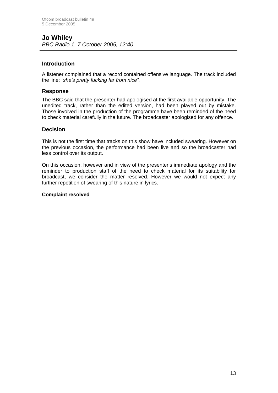#### **Introduction**

A listener complained that a record contained offensive language. The track included the line: *"she's pretty fucking far from nice".*

#### **Response**

The BBC said that the presenter had apologised at the first available opportunity. The unedited track, rather than the edited version, had been played out by mistake. Those involved in the production of the programme have been reminded of the need to check material carefully in the future. The broadcaster apologised for any offence.

#### **Decision**

This is not the first time that tracks on this show have included swearing. However on the previous occasion, the performance had been live and so the broadcaster had less control over its output.

On this occasion, however and in view of the presenter's immediate apology and the reminder to production staff of the need to check material for its suitability for broadcast, we consider the matter resolved. However we would not expect any further repetition of swearing of this nature in lyrics.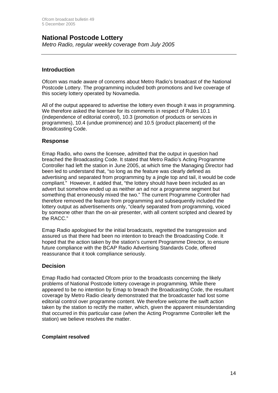### **National Postcode Lottery**

*Metro Radio, regular weekly coverage from July 2005*

#### **Introduction**

Ofcom was made aware of concerns about Metro Radio's broadcast of the National Postcode Lottery. The programming included both promotions and live coverage of this society lottery operated by Novamedia.

All of the output appeared to advertise the lottery even though it was in programming. We therefore asked the licensee for its comments in respect of Rules 10.1 (independence of editorial control), 10.3 (promotion of products or services in programmes), 10.4 (undue prominence) and 10.5 (product placement) of the Broadcasting Code.

#### **Response**

Emap Radio, who owns the licensee, admitted that the output in question had breached the Broadcasting Code. It stated that Metro Radio's Acting Programme Controller had left the station in June 2005, at which time the Managing Director had been led to understand that, "so long as the feature was clearly defined as advertising and separated from programming by a jingle top and tail, it would be code compliant." However, it added that, "the lottery should have been included as an advert but somehow ended up as neither an ad nor a programme segment but something that erroneously mixed the two." The current Programme Controller had therefore removed the feature from programming and subsequently included the lottery output as advertisements only, "clearly separated from programming, voiced by someone other than the on-air presenter, with all content scripted and cleared by the RACC."

Emap Radio apologised for the initial broadcasts, regretted the transgression and assured us that there had been no intention to breach the Broadcasting Code. It hoped that the action taken by the station's current Programme Director, to ensure future compliance with the BCAP Radio Advertising Standards Code, offered reassurance that it took compliance seriously.

#### **Decision**

Emap Radio had contacted Ofcom prior to the broadcasts concerning the likely problems of National Postcode lottery coverage in programming. While there appeared to be no intention by Emap to breach the Broadcasting Code, the resultant coverage by Metro Radio clearly demonstrated that the broadcaster had lost some editorial control over programme content. We therefore welcome the swift action taken by the station to rectify the matter, which, given the apparent misunderstanding that occurred in this particular case (when the Acting Programme Controller left the station) we believe resolves the matter.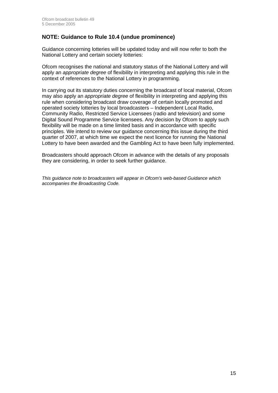### **NOTE: Guidance to Rule 10.4 (undue prominence)**

Guidance concerning lotteries will be updated today and will now refer to both the National Lottery and certain society lotteries:

Ofcom recognises the national and statutory status of the National Lottery and will apply an *appropriate degree* of flexibility in interpreting and applying this rule in the context of references to the National Lottery in programming.

In carrying out its statutory duties concerning the broadcast of local material, Ofcom may also apply an *appropriate degree* of flexibility in interpreting and applying this rule when considering broadcast draw coverage of certain locally promoted and operated society lotteries by local broadcasters – Independent Local Radio, Community Radio, Restricted Service Licensees (radio and television) and some Digital Sound Programme Service licensees. Any decision by Ofcom to apply such flexibility will be made on a time limited basis and in accordance with specific principles. We intend to review our guidance concerning this issue during the third quarter of 2007, at which time we expect the next licence for running the National Lottery to have been awarded and the Gambling Act to have been fully implemented.

Broadcasters should approach Ofcom in advance with the details of any proposals they are considering, in order to seek further guidance.

*This guidance note to broadcasters will appear in Ofcom's web-based Guidance which accompanies the Broadcasting Code.*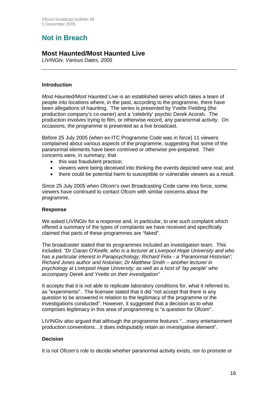# **Not in Breach**

### **Most Haunted/Most Haunted Live**

*LIVINGtv, Various Dates, 2005* 

#### **Introduction**

*Most Haunted/Most Haunted Live* is an established series which takes a team of people into locations where, in the past, according to the programme, there have been allegations of haunting. The series is presented by Yvette Fielding (the production company's co-owner) and a 'celebrity' psychic Derek Acorah. The production involves trying to film, or otherwise record, any paranormal activity. On occasions, the programme is presented as a live broadcast.

Before 25 July 2005 (when ex-ITC Programme Code was in force) 11 viewers complained about various aspects of the programme, suggesting that some of the paranormal elements have been contrived or otherwise pre-prepared. Their concerns were, in summary, that

- this was fraudulent practice;
- viewers were being deceived into thinking the events depicted were real; and
- there could be potential harm to susceptible or vulnerable viewers as a result.

Since 25 July 2005 when Ofcom's own Broadcasting Code came into force, some viewers have continued to contact Ofcom with similar concerns about the programme.

#### **Response**

We asked LIVINGty for a response and, in particular, to one such complaint which offered a summary of the types of complaints we have received and specifically claimed that parts of these programmes are "faked".

The broadcaster stated that its programmes included an investigation team. This included: *"Dr Ciaran O'Keefe, who is a lecturer at Liverpool Hope University and who has a particular interest in Parapsychology; Richard Felix - a 'Paranormal Historian'; Richard Jones author and historian; Dr Matthew Smith – another lecturer in psychology at Liverpool Hope University; as well as a host of 'lay people' who accompany Derek and Yvette on their investigation"*

It accepts that it is not able to replicate laboratory conditions for, what it referred to, as "experiments". The licensee stated that it did "not accept that there is any question to be answered in relation to the legitimacy of the programme or the investigations conducted". However, it suggested that a decision as to what comprises legitimacy in this area of programming is "a question for Ofcom".

LIVINGtv also argued that although the programme features "…many entertainment production conventions…it does indisputably retain an investigative element".

#### **Decision**

It is not Ofcom's role to decide whether paranormal activity exists, nor to promote or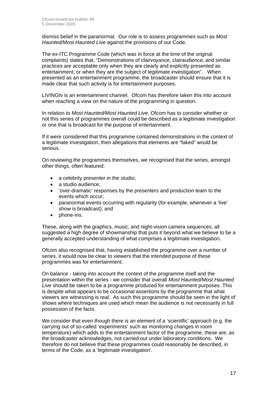dismiss belief in the paranormal. Our role is to assess programmes such as *Most Haunted/Most Haunted Live* against the provisions of our Code.

The ex-ITC Programme Code (which was in force at the time of the original complaints) states that, "Demonstrations of clairvoyance, clairaudience, and similar practices are acceptable only when they are clearly and explicitly presented as entertainment, or when they are the subject of legitimate investigation". When presented as an entertainment programme, the broadcaster should ensure that it is made clear that such activity is for entertainment purposes.

LIVINGtv is an entertainment channel. Ofcom has therefore taken this into account when reaching a view on the nature of the programming in question.

In relation to *Most Haunted/Most Haunted Live*, Ofcom has to consider whether or not this series of programmes overall could be described as a legitimate investigation or one that is broadcast for the purpose of entertainment.

If it were considered that this programme contained demonstrations in the context of a legitimate investigation, then allegations that elements are "faked" would be serious.

On reviewing the programmes themselves, we recognised that the series, amongst other things, often featured:

- a celebrity presenter in the studio;
- a studio audience;
- 'over-dramatic' responses by the presenters and production team to the events which occur;
- paranormal events occurring with regularity (for example, whenever a 'live' show is broadcast); and
- phone-ins.

These, along with the graphics, music, and night-vision camera sequences, all suggested a high degree of showmanship that puts it beyond what we believe to be a generally accepted understanding of what comprises a legitimate investigation.

Ofcom also recognised that, having established the programme over a number of series, it would now be clear to viewers that the intended purpose of these programmes was for entertainment.

On balance - taking into account the context of the programme itself and the presentation within the series - we consider that overall *Most Haunted/Most Haunted Live* should be taken to be a programme produced for entertainment purposes. This is despite what appears to be occasional assertions by the programme that what viewers are witnessing is real. As such this programme should be seen in the light of shows where techniques are used which mean the audience is not necessarily in full possession of the facts.

We consider that even though there is an element of a 'scientific' approach (e.g. the carrying out of so-called 'experiments' such as monitoring changes in room temperature) which adds to the entertainment factor of the programme, these are, as the broadcaster acknowledges, not carried out under laboratory conditions. We therefore do not believe that these programmes could reasonably be described, in terms of the Code, as a 'legitimate investigation'.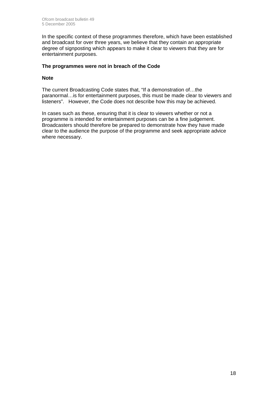In the specific context of these programmes therefore, which have been established and broadcast for over three years, we believe that they contain an appropriate degree of signposting which appears to make it clear to viewers that they are for entertainment purposes.

#### **The programmes were not in breach of the Code**

#### **Note**

The current Broadcasting Code states that, "If a demonstration of…the paranormal…is for entertainment purposes, this must be made clear to viewers and listeners". However, the Code does not describe how this may be achieved.

In cases such as these, ensuring that it is clear to viewers whether or not a programme is intended for entertainment purposes can be a fine judgement. Broadcasters should therefore be prepared to demonstrate how they have made clear to the audience the purpose of the programme and seek appropriate advice where necessary.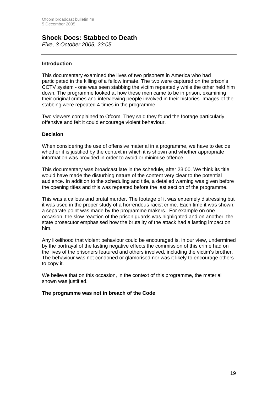## **Shock Docs: Stabbed to Death**

*Five, 3 October 2005, 23:05*

#### **Introduction**

This documentary examined the lives of two prisoners in America who had participated in the killing of a fellow inmate. The two were captured on the prison's CCTV system - one was seen stabbing the victim repeatedly while the other held him down. The programme looked at how these men came to be in prison, examining their original crimes and interviewing people involved in their histories. Images of the stabbing were repeated 4 times in the programme.

Two viewers complained to Ofcom. They said they found the footage particularly offensive and felt it could encourage violent behaviour.

#### **Decision**

When considering the use of offensive material in a programme, we have to decide whether it is justified by the context in which it is shown and whether appropriate information was provided in order to avoid or minimise offence.

This documentary was broadcast late in the schedule, after 23:00. We think its title would have made the disturbing nature of the content very clear to the potential audience. In addition to the scheduling and title, a detailed warning was given before the opening titles and this was repeated before the last section of the programme.

This was a callous and brutal murder. The footage of it was extremely distressing but it was used in the proper study of a horrendous racist crime. Each time it was shown, a separate point was made by the programme makers. For example on one occasion, the slow reaction of the prison guards was highlighted and on another, the state prosecutor emphasised how the brutality of the attack had a lasting impact on him.

Any likelihood that violent behaviour could be encouraged is, in our view, undermined by the portrayal of the lasting negative effects the commission of this crime had on the lives of the prisoners featured and others involved, including the victim's brother. The behaviour was not condoned or glamorised nor was it likely to encourage others to copy it.

We believe that on this occasion, in the context of this programme, the material shown was justified.

#### **The programme was not in breach of the Code**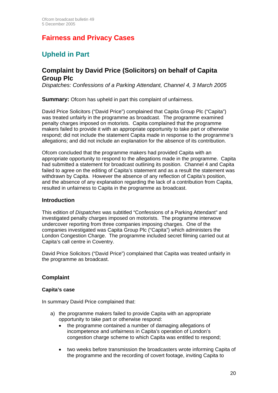# **Fairness and Privacy Cases**

# **Upheld in Part**

### **Complaint by David Price (Solicitors) on behalf of Capita Group Plc**

*Dispatches: Confessions of a Parking Attendant, Channel 4, 3 March 2005* 

**Summary:** Ofcom has upheld in part this complaint of unfairness.

David Price Solicitors ("David Price") complained that Capita Group Plc ("Capita") was treated unfairly in the programme as broadcast. The programme examined penalty charges imposed on motorists. Capita complained that the programme makers failed to provide it with an appropriate opportunity to take part or otherwise respond; did not include the statement Capita made in response to the programme's allegations; and did not include an explanation for the absence of its contribution.

Ofcom concluded that the programme makers had provided Capita with an appropriate opportunity to respond to the allegations made in the programme. Capita had submitted a statement for broadcast outlining its position. Channel 4 and Capita failed to agree on the editing of Capita's statement and as a result the statement was withdrawn by Capita. However the absence of any reflection of Capita's position, and the absence of any explanation regarding the lack of a contribution from Capita, resulted in unfairness to Capita in the programme as broadcast.

#### **Introduction**

This edition of *Dispatches* was subtitled "Confessions of a Parking Attendant" and investigated penalty charges imposed on motorists. The programme interwove undercover reporting from three companies imposing charges. One of the companies investigated was Capita Group Plc ("Capita") which administers the London Congestion Charge. The programme included secret filming carried out at Capita's call centre in Coventry.

David Price Solicitors ("David Price") complained that Capita was treated unfairly in the programme as broadcast.

#### **Complaint**

#### **Capita's case**

In summary David Price complained that:

- a) the programme makers failed to provide Capita with an appropriate opportunity to take part or otherwise respond:
	- the programme contained a number of damaging allegations of incompetence and unfairness in Capita's operation of London's congestion charge scheme to which Capita was entitled to respond;
	- two weeks before transmission the broadcasters wrote informing Capita of the programme and the recording of covert footage, inviting Capita to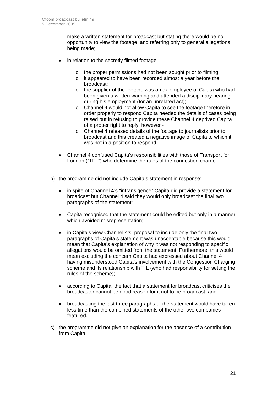make a written statement for broadcast but stating there would be no opportunity to view the footage, and referring only to general allegations being made;

- in relation to the secretly filmed footage:
	- o the proper permissions had not been sought prior to filming;
	- o it appeared to have been recorded almost a year before the broadcast;
	- o the supplier of the footage was an ex-employee of Capita who had been given a written warning and attended a disciplinary hearing during his employment (for an unrelated act);
	- o Channel 4 would not allow Capita to see the footage therefore in order properly to respond Capita needed the details of cases being raised but in refusing to provide these Channel 4 deprived Capita of a proper right to reply; however -
	- o Channel 4 released details of the footage to journalists prior to broadcast and this created a negative image of Capita to which it was not in a position to respond.
- Channel 4 confused Capita's responsibilities with those of Transport for London ("TFL") who determine the rules of the congestion charge.
- b) the programme did not include Capita's statement in response:
	- in spite of Channel 4's "intransigence" Capita did provide a statement for broadcast but Channel 4 said they would only broadcast the final two paragraphs of the statement;
	- Capita recognised that the statement could be edited but only in a manner which avoided misrepresentation;
	- in Capita's view Channel 4's proposal to include only the final two paragraphs of Capita's statement was unacceptable because this would mean that Capita's explanation of why it was not responding to specific allegations would be omitted from the statement. Furthermore, this would mean excluding the concern Capita had expressed about Channel 4 having misunderstood Capita's involvement with the Congestion Charging scheme and its relationship with TfL (who had responsibility for setting the rules of the scheme);
	- according to Capita, the fact that a statement for broadcast criticises the broadcaster cannot be good reason for it not to be broadcast; and
	- broadcasting the last three paragraphs of the statement would have taken less time than the combined statements of the other two companies featured.
- c) the programme did not give an explanation for the absence of a contribution from Capita: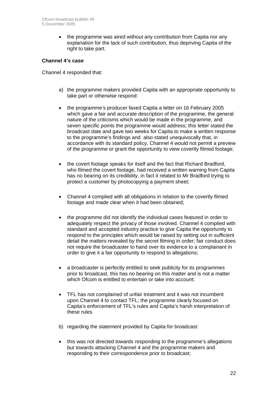• the programme was aired without any contribution from Capita nor any explanation for the lack of such contribution, thus depriving Capita of the right to take part.

#### **Channel 4's case**

Channel 4 responded that:

- a) the programme makers provided Capita with an appropriate opportunity to take part or otherwise respond:
- the programme's producer faxed Capita a letter on 16 February 2005 which gave a fair and accurate description of the programme, the general nature of the criticisms which would be made in the programme, and seven specific points the programme would address; this letter stated the broadcast date and gave two weeks for Capita to make a written response to the programme's findings and also stated unequivocally that, in accordance with its standard policy, Channel 4 would not permit a preview of the programme or grant the opportunity to view covertly filmed footage;
- the covert footage speaks for itself and the fact that Richard Bradford, who filmed the covert footage, had received a written warning from Capita has no bearing on its credibility, in fact it related to Mr Bradford trying to protect a customer by photocopying a payment sheet;
- Channel 4 complied with all obligations in relation to the covertly filmed footage and made clear when it had been obtained;
- the programme did not identify the individual cases featured in order to adequately respect the privacy of those involved. Channel 4 complied with standard and accepted industry practice to give Capita the opportunity to respond to the principles which would be raised by setting out in sufficient detail the matters revealed by the secret filming in order; fair conduct does not require the broadcaster to hand over its evidence to a complainant in order to give it a fair opportunity to respond to allegations;
- a broadcaster is perfectly entitled to seek publicity for its programmes prior to broadcast, this has no bearing on this matter and is not a matter which Ofcom is entitled to entertain or take into account:
- TFL has not complained of unfair treatment and it was not incumbent upon Channel 4 to contact TFL; the programme clearly focused on Capita's enforcement of TFL's rules and Capita's harsh interpretation of these rules
- b) regarding the statement provided by Capita for broadcast:
- this was not directed towards responding to the programme's allegations but towards attacking Channel 4 and the programme makers and responding to their correspondence prior to broadcast;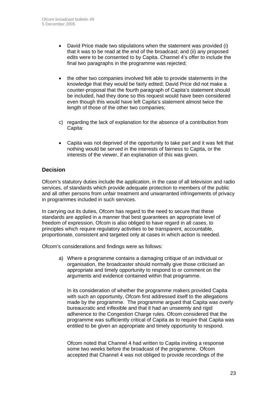- David Price made two stipulations when the statement was provided (i) that it was to be read at the end of the broadcast; and (ii) any proposed edits were to be consented to by Capita. Channel 4's offer to include the final two paragraphs in the programme was rejected;
- the other two companies involved felt able to provide statements in the knowledge that they would be fairly edited; David Price did not make a counter-proposal that the fourth paragraph of Capita's statement should be included, had they done so this request would have been considered even though this would have left Capita's statement almost twice the length of those of the other two companies;
- c) regarding the lack of explanation for the absence of a contribution from Capita:
- Capita was not deprived of the opportunity to take part and it was felt that nothing would be served in the interests of fairness to Capita, or the interests of the viewer, if an explanation of this was given.

### **Decision**

Ofcom's statutory duties include the application, in the case of all television and radio services, of standards which provide adequate protection to members of the public and all other persons from unfair treatment and unwarranted infringements of privacy in programmes included in such services.

In carrying out its duties, Ofcom has regard to the need to secure that these standards are applied in a manner that best guarantees an appropriate level of freedom of expression. Ofcom is also obliged to have regard in all cases, to principles which require regulatory activities to be transparent, accountable, proportionate, consistent and targeted only at cases in which action is needed.

Ofcom's considerations and findings were as follows:

a) Where a programme contains a damaging critique of an individual or organisation, the broadcaster should normally give those criticised an appropriate and timely opportunity to respond to or comment on the arguments and evidence contained within that programme.

In its consideration of whether the programme makers provided Capita with such an opportunity, Ofcom first addressed itself to the allegations made by the programme. The programme argued that Capita was overly bureaucratic and inflexible and that it had an unseemly and rigid adherence to the Congestion Charge rules. Ofcom considered that the programme was sufficiently critical of Capita as to require that Capita was entitled to be given an appropriate and timely opportunity to respond.

Ofcom noted that Channel 4 had written to Capita inviting a response some two weeks before the broadcast of the programme. Ofcom accepted that Channel 4 was not obliged to provide recordings of the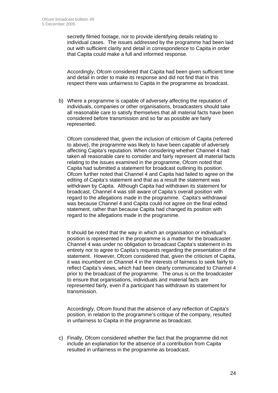secretly filmed footage, nor to provide identifying details relating to individual cases. The issues addressed by the programme had been laid out with sufficient clarity and detail in correspondence to Capita in order that Capita could make a full and informed response.

Accordingly, Ofcom considered that Capita had been given sufficient time and detail in order to make its response and did not find that in this respect there was unfairness to Capita in the programme as broadcast.

b) Where a programme is capable of adversely affecting the reputation of individuals, companies or other organisations, broadcasters should take all reasonable care to satisfy themselves that all material facts have been considered before transmission and so far as possible are fairly represented.

Ofcom considered that, given the inclusion of criticism of Capita (referred to above), the programme was likely to have been capable of adversely affecting Capita's reputation. When considering whether Channel 4 had taken all reasonable care to consider and fairly represent all material facts relating to the issues examined in the programme, Ofcom noted that Capita had submitted a statement for broadcast outlining its position. Ofcom further noted that Channel 4 and Capita had failed to agree on the editing of Capita's statement and that as a result the statement was withdrawn by Capita. Although Capita had withdrawn its statement for broadcast, Channel 4 was still aware of Capita's overall position with regard to the allegations made in the programme. Capita's withdrawal was because Channel 4 and Capita could not agree on the final edited statement, rather than because Capita had changed its position with regard to the allegations made in the programme.

It should be noted that the way in which an organisation or individual's position is represented in the programme is a matter for the broadcaster. Channel 4 was under no obligation to broadcast Capita's statement in its entirety nor to agree to Capita's requests regarding the presentation of the statement. However, Ofcom considered that, given the criticism of Capita, it was incumbent on Channel 4 in the interests of fairness to seek fairly to reflect Capita's views, which had been clearly communicated to Channel 4 prior to the broadcast of the programme. The onus is on the broadcaster to ensure that organisations, individuals and material facts are represented fairly, even if a participant has withdrawn its statement for transmission.

Accordingly, Ofcom found that the absence of *any* reflection of Capita's position, in relation to the programme's critique of the company, resulted in unfairness to Capita in the programme as broadcast.

c) Finally, Ofcom considered whether the fact that the programme did not include an explanation for the absence of a contribution from Capita resulted in unfairness in the programme as broadcast.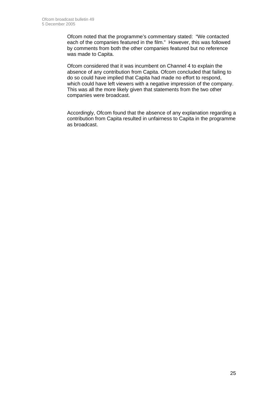Ofcom noted that the programme's commentary stated: "We contacted each of the companies featured in the film." However, this was followed by comments from both the other companies featured but no reference was made to Capita.

Ofcom considered that it was incumbent on Channel 4 to explain the absence of any contribution from Capita. Ofcom concluded that failing to do so could have implied that Capita had made no effort to respond, which could have left viewers with a negative impression of the company. This was all the more likely given that statements from the two other companies were broadcast.

Accordingly, Ofcom found that the absence of any explanation regarding a contribution from Capita resulted in unfairness to Capita in the programme as broadcast.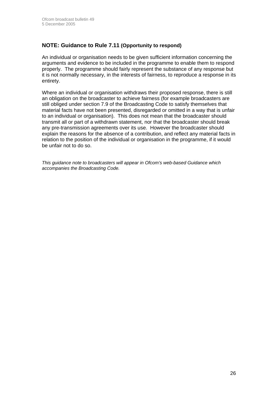#### **NOTE: Guidance to Rule 7.11 (Opportunity to respond)**

An individual or organisation needs to be given sufficient information concerning the arguments and evidence to be included in the programme to enable them to respond properly. The programme should fairly represent the substance of any response but it is not normally necessary, in the interests of fairness, to reproduce a response in its entirety.

Where an individual or organisation withdraws their proposed response, there is still an obligation on the broadcaster to achieve fairness (for example broadcasters are still obliged under section 7.9 of the Broadcasting Code to satisfy themselves that material facts have not been presented, disregarded or omitted in a way that is unfair to an individual or organisation). This does not mean that the broadcaster should transmit all or part of a withdrawn statement, nor that the broadcaster should break any pre-transmission agreements over its use. However the broadcaster should explain the reasons for the absence of a contribution, and reflect any material facts in relation to the position of the individual or organisation in the programme, if it would be unfair not to do so.

*This guidance note to broadcasters will appear in Ofcom's web-based Guidance which accompanies the Broadcasting Code.*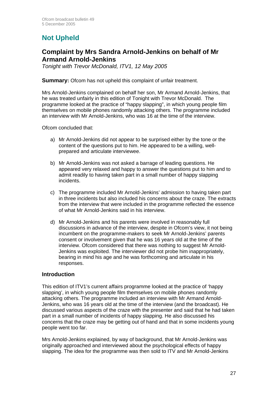# **Not Upheld**

### **Complaint by Mrs Sandra Arnold-Jenkins on behalf of Mr Armand Arnold-Jenkins**

*Tonight with Trevor McDonald, ITV1, 12 May 2005*

#### **Summary:** Ofcom has not upheld this complaint of unfair treatment.

Mrs Arnold-Jenkins complained on behalf her son, Mr Armand Arnold-Jenkins, that he was treated unfairly in this edition of Tonight with Trevor McDonald. The programme looked at the practice of "happy slapping", in which young people film themselves on mobile phones randomly attacking others. The programme included an interview with Mr Arnold-Jenkins, who was 16 at the time of the interview.

Ofcom concluded that:

- a) Mr Arnold-Jenkins did not appear to be surprised either by the tone or the content of the questions put to him. He appeared to be a willing, wellprepared and articulate interviewee.
- b) Mr Arnold-Jenkins was not asked a barrage of leading questions. He appeared very relaxed and happy to answer the questions put to him and to admit readily to having taken part in a small number of happy slapping incidents.
- c) The programme included Mr Arnold-Jenkins' admission to having taken part in three incidents but also included his concerns about the craze. The extracts from the interview that were included in the programme reflected the essence of what Mr Arnold-Jenkins said in his interview.
- d) Mr Arnold-Jenkins and his parents were involved in reasonably full discussions in advance of the interview, despite in Ofcom's view, it not being incumbent on the programme-makers to seek Mr Arnold-Jenkins' parents consent or involvement given that he was 16 years old at the time of the interview. Ofcom considered that there was nothing to suggest Mr Arnold-Jenkins was exploited. The interviewer did not probe him inappropriately, bearing in mind his age and he was forthcoming and articulate in his responses.

#### **Introduction**

This edition of ITV1's current affairs programme looked at the practice of 'happy slapping', in which young people film themselves on mobile phones randomly attacking others. The programme included an interview with Mr Armand Arnold-Jenkins, who was 16 years old at the time of the interview (and the broadcast). He discussed various aspects of the craze with the presenter and said that he had taken part in a small number of incidents of happy slapping. He also discussed his concerns that the craze may be getting out of hand and that in some incidents young people went too far.

Mrs Arnold-Jenkins explained, by way of background, that Mr Arnold-Jenkins was originally approached and interviewed about the psychological effects of happy slapping. The idea for the programme was then sold to ITV and Mr Arnold-Jenkins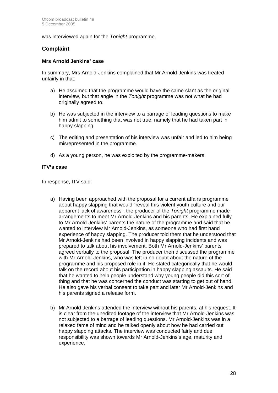was interviewed again for the *Tonight* programme.

#### **Complaint**

#### **Mrs Arnold Jenkins' case**

In summary, Mrs Arnold-Jenkins complained that Mr Arnold-Jenkins was treated unfairly in that:

- a) He assumed that the programme would have the same slant as the original interview, but that angle in the *Tonight* programme was not what he had originally agreed to.
- b) He was subjected in the interview to a barrage of leading questions to make him admit to something that was not true, namely that he had taken part in happy slapping.
- c) The editing and presentation of his interview was unfair and led to him being misrepresented in the programme.
- d) As a young person, he was exploited by the programme-makers.

#### **ITV's case**

In response, ITV said:

- a) Having been approached with the proposal for a current affairs programme about happy slapping that would "reveal this violent youth culture and our apparent lack of awareness", the producer of the *Tonight* programme made arrangements to meet Mr Arnold-Jenkins and his parents. He explained fully to Mr Arnold-Jenkins' parents the nature of the programme and said that he wanted to interview Mr Arnold-Jenkins, as someone who had first hand experience of happy slapping. The producer told them that he understood that Mr Arnold-Jenkins had been involved in happy slapping incidents and was prepared to talk about his involvement. Both Mr Arnold-Jenkins' parents agreed verbally to the proposal. The producer then discussed the programme with Mr Arnold-Jenkins, who was left in no doubt about the nature of the programme and his proposed role in it. He stated categorically that he would talk on the record about his participation in happy slapping assaults. He said that he wanted to help people understand why young people did this sort of thing and that he was concerned the conduct was starting to get out of hand. He also gave his verbal consent to take part and later Mr Arnold-Jenkins and his parents signed a release form.
- b) Mr Arnold-Jenkins attended the interview without his parents, at his request. It is clear from the unedited footage of the interview that Mr Arnold-Jenkins was not subjected to a barrage of leading questions. Mr Arnold-Jenkins was in a relaxed fame of mind and he talked openly about how he had carried out happy slapping attacks. The interview was conducted fairly and due responsibility was shown towards Mr Arnold-Jenkins's age, maturity and experience.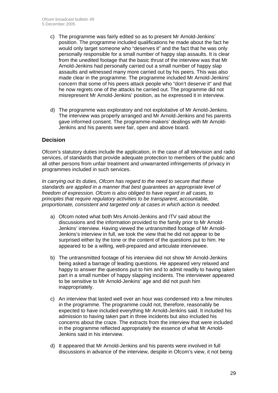- c) The programme was fairly edited so as to present Mr Arnold-Jenkins' position. The programme included qualifications he made about the fact he would only target someone who "deserves it" and the fact that he was only personally responsible for a small number of happy slap assaults. It is clear from the unedited footage that the basic thrust of the interview was that Mr Arnold-Jenkins had personally carried out a small number of happy slap assaults and witnessed many more carried out by his peers. This was also made clear in the programme. The programme included Mr Arnold-Jenkins' concern that some of his peers attack people who "don't deserve it" and that he now regrets one of the attacks he carried out. The programme did not misrepresent Mr Arnold-Jenkins' position, as he expressed it in interview.
- d) The programme was exploratory and not exploitative of Mr Arnold-Jenkins. The interview was properly arranged and Mr Arnold-Jenkins and his parents gave informed consent. The programme-makers' dealings with Mr Arnold-Jenkins and his parents were fair, open and above board.

#### **Decision**

Ofcom's statutory duties include the application, in the case of all television and radio services, of standards that provide adequate protection to members of the public and all other persons from unfair treatment and unwarranted infringements of privacy in programmes included in such services.

*In carrying out its duties, Ofcom has regard to the need to secure that these standards are applied in a manner that best guarantees an appropriate level of freedom of expression. Ofcom is also obliged to have regard in all cases, to principles that require regulatory activities to be transparent, accountable, proportionate, consistent and targeted only at cases in which action is needed.* 

- a) Ofcom noted what both Mrs Arnold-Jenkins and ITV said about the discussions and the information provided to the family prior to Mr Arnold-Jenkins' interview. Having viewed the untransmitted footage of Mr Arnold-Jenkins's interview in full, we took the view that he did not appear to be surprised either by the tone or the content of the questions put to him. He appeared to be a willing, well-prepared and articulate interviewee.
- b) The untransmitted footage of his interview did not show Mr Arnold-Jenkins being asked a barrage of leading questions. He appeared very relaxed and happy to answer the questions put to him and to admit readily to having taken part in a small number of happy slapping incidents. The interviewer appeared to be sensitive to Mr Arnold-Jenkins' age and did not push him inappropriately.
- c) An interview that lasted well over an hour was condensed into a few minutes in the programme. The programme could not, therefore, reasonably be expected to have included everything Mr Arnold-Jenkins said. It included his admission to having taken part in three incidents but also included his concerns about the craze. The extracts from the interview that were included in the programme reflected appropriately the essence of what Mr Arnold-Jenkins said in his interview.
- d) It appeared that Mr Arnold-Jenkins and his parents were involved in full discussions in advance of the interview, despite in Ofcom's view, it not being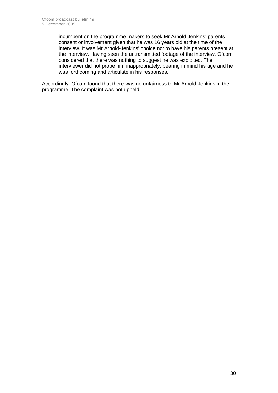incumbent on the programme-makers to seek Mr Arnold-Jenkins' parents consent or involvement given that he was 16 years old at the time of the interview. It was Mr Arnold-Jenkins' choice not to have his parents present at the interview. Having seen the untransmitted footage of the interview, Ofcom considered that there was nothing to suggest he was exploited. The interviewer did not probe him inappropriately, bearing in mind his age and he was forthcoming and articulate in his responses.

Accordingly, Ofcom found that there was no unfairness to Mr Arnold-Jenkins in the programme. The complaint was not upheld.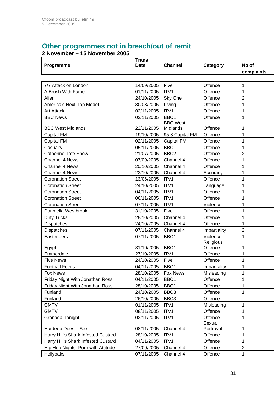# **Other programmes not in breach/out of remit**

| Programme                           | <b>Trans</b><br><b>Date</b> | <b>Channel</b>              | Category             | No of<br>complaints |
|-------------------------------------|-----------------------------|-----------------------------|----------------------|---------------------|
|                                     |                             |                             |                      |                     |
| 7/7 Attack on London                | 14/09/2005                  | Five                        | Offence              | 1                   |
| A Brush With Fame                   | 01/11/2005                  | ITV1                        | Offence              | 1                   |
| Alien                               | 24/10/2005                  | Sky One                     | Offence              | $\overline{2}$      |
| America's Next Top Model            | 30/08/2005                  | Living                      | Offence              | 1                   |
| <b>Art Attack</b>                   | 02/11/2005                  | ITV1                        | Offence              | 1                   |
| <b>BBC News</b>                     | 03/11/2005                  | BBC1                        | Offence              | 1                   |
| <b>BBC West Midlands</b>            | 22/11/2005                  | <b>BBC West</b><br>Midlands | Offence              | 1                   |
| <b>Capital FM</b>                   | 19/10/2005                  | 95.8 Capital FM             | Offence              | 1                   |
| Capital FM                          | 02/11/2005                  | <b>Capital FM</b>           | Offence              | 1                   |
| Casualty                            | 05/11/2005                  | BBC1                        | Offence              | 1                   |
| <b>Catherine Tate Show</b>          | 21/07/2005                  | BBC <sub>2</sub>            | Offence              | $\overline{2}$      |
| <b>Channel 4 News</b>               | 07/09/2005                  | Channel 4                   | Offence              | 1                   |
| Channel 4 News                      | 20/10/2005                  | Channel 4                   | Offence              | 1                   |
| <b>Channel 4 News</b>               | 22/10/2005                  | Channel 4                   | Accuracy             | 1                   |
| <b>Coronation Street</b>            | 13/06/2005                  | ITV1                        | Offence              | 1                   |
| <b>Coronation Street</b>            | 24/10/2005                  | ITV1                        | Language             | 1                   |
| <b>Coronation Street</b>            | 04/11/2005                  | ITV1                        | Offence              | 1                   |
| <b>Coronation Street</b>            | 06/11/2005                  | ITV1                        | Offence              | 1                   |
| <b>Coronation Street</b>            | 07/11/2005                  | ITV1                        | Violence             | 1                   |
| Danniella Westbrook                 | 31/10/2005                  | Five                        | Offence              | 1                   |
| <b>Dirty Tricks</b>                 | 28/10/2005                  | Channel 4                   | Offence              | 1                   |
| <b>Dispatches</b>                   | 24/10/2005                  | Channel 4                   | Offence              | 1                   |
| <b>Dispatches</b>                   | 07/11/2005                  | Channel 4                   | Impartiality         | $\overline{2}$      |
| Eastenders                          | 07/11/2005                  | BBC1                        | Violence             | 1                   |
| Egypt                               | 31/10/2005                  | BBC1                        | Religious<br>Offence | 1                   |
| Emmerdale                           | 27/10/2005                  | ITV1                        | Offence              | 1                   |
| <b>Five News</b>                    | 24/10/2005                  | Five                        | Offence              | 1                   |
| <b>Football Focus</b>               | 04/11/2005                  | BBC1                        | Impartiality         | 1                   |
| <b>Fox News</b>                     | 28/10/2005                  | Fox News                    | Misleading           | 1                   |
| Friday Night With Jonathan Ross     | 04/11/2005                  | BBC1                        | Offence              | 1                   |
| Friday Night With Jonathan Ross     | 28/10/2005                  | BBC1                        | Offence              | 1                   |
| Funland                             | 24/10/2005                  | BBC <sub>3</sub>            | Offence              | 1                   |
| Funland                             | 26/10/2005                  | BBC <sub>3</sub>            | Offence              |                     |
| <b>GMTV</b>                         | 01/11/2005                  | ITV1                        | Misleading           | 1                   |
| <b>GMTV</b>                         | 08/11/2005                  | ITV1                        | Offence              | 1                   |
| Granada Tonight                     | 02/11/2005                  | ITV1                        | Offence              | 1                   |
| Hardeep Does Sex                    | 08/11/2005                  | Channel 4                   | Sexual<br>Portrayal  | 1                   |
| Harry Hill's Shark Infested Custard | 28/10/2005                  | ITV1                        | Offence              | 1                   |
| Harry Hill's Shark Infested Custard | 04/11/2005                  | ITV1                        | Offence              | 1                   |
| Hip Hop Nights: Porn with Attitude  | 27/09/2005                  | Channel 4                   | Offence              | $\overline{2}$      |
| Hollyoaks                           | 07/11/2005                  | Channel 4                   | Offence              | 1                   |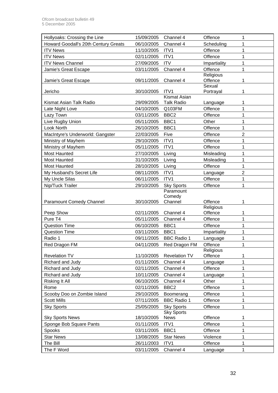| Hollyoaks: Crossing the Line         | 15/09/2005               | Channel 4            | Offence              | 1              |
|--------------------------------------|--------------------------|----------------------|----------------------|----------------|
| Howard Goodall's 20th Century Greats | 06/10/2005               | Channel 4            | Scheduling           | 1              |
| <b>ITV News</b>                      | 11/10/2005               | ITV1                 | Offence              | 1              |
| <b>ITV News</b>                      | 02/11/2005               | ITV1                 | Offence              | 1              |
| <b>ITV News Channel</b>              | 27/09/2005               | <b>ITV</b>           | Impartiality         | 1              |
| Jamie's Great Escape                 | 03/11/2005               | Channel 4            | Offence              | 1              |
| Jamie's Great Escape                 | 09/11/2005               | Channel 4            | Religious<br>Offence | 1              |
| Jericho                              | 30/10/2005               | ITV1                 | Sexual<br>Portrayal  | 1              |
|                                      |                          | <b>Kismat Asian</b>  |                      |                |
| Kismat Asian Talk Radio              | 29/09/2005               | <b>Talk Radio</b>    | Language             | 1              |
| Late Night Love                      | 04/10/2005               | Q103FM               | Offence              | 1              |
| Lazy Town                            | 03/11/2005               | BBC <sub>2</sub>     | Offence              | 1              |
| Live Rugby Union                     | 05/11/2005               | BBC1                 | Other                | 1              |
| Look North                           | 26/10/2005               | BBC1                 | Offence              | 1              |
| MacIntyre's Underworld: Gangster     | 22/03/2005               | Five                 | Offence              | $\overline{2}$ |
| Ministry of Mayhem                   | 29/10/2005               | ITV1                 | Offence              | 1              |
| Ministry of Mayhem                   | 05/11/2005               | ITV1                 | Offence              | 1              |
| <b>Most Haunted</b>                  | 27/10/2005               | Living               | Misleading           | 1              |
| <b>Most Haunted</b>                  | 31/10/2005               | Living               | Misleading           | 1              |
| Most Haunted                         | 28/10/2005               | Living               | Offence              | 1              |
| My Husband's Secret Life             | 08/11/2005               | ITV1                 | Language             | $\overline{2}$ |
| My Uncle Silas                       | 06/11/2005               | ITV1                 | Offence              | 1              |
| Nip/Tuck Trailer                     | 29/10/2005               | <b>Sky Sports</b>    | Offence              | 1              |
|                                      |                          | Paramount            |                      |                |
| <b>Paramount Comedy Channel</b>      | 30/10/2005               | Comedy<br>Channel    | Offence              | 1              |
|                                      |                          |                      | Religious            |                |
| Peep Show                            | 02/11/2005               | Channel 4            | Offence              | 1              |
| Pure T4                              | 05/11/2005               | Channel 4            | Offence              | 1              |
| <b>Question Time</b>                 | 06/10/2005               | BBC1                 | Offence              | 1              |
| <b>Question Time</b>                 | 03/11/2005               | BBC1                 | Impartiality         | 1              |
| Radio 1                              | 09/11/2005               | <b>BBC Radio 1</b>   | Language             | 1              |
| Red Dragon FM                        | 04/11/2005               |                      |                      |                |
|                                      |                          | Red Dragon FM        | Offence              |                |
|                                      |                          |                      | Religious            |                |
| <b>Revelation TV</b>                 | 11/10/2005               | <b>Revelation TV</b> | Offence              | 1              |
| Richard and Judy                     | 01/11/2005               | Channel 4            | Language             | 1              |
| Richard and Judy                     | 02/11/2005               | Channel 4            | Offence              | 1              |
| Richard and Judy                     | 10/11/2005               | Channel 4            | Language             | 1              |
| Risking It All                       | 06/10/2005               | Channel 4            | Other                | 1              |
| Rome                                 | 02/11/2005               | BBC <sub>2</sub>     | Offence              | 1              |
| Scooby Doo on Zombie Island          | 29/10/2005               | Boomerang            | Offence              | 1              |
| <b>Scott Mills</b>                   | 07/11/2005               | <b>BBC Radio 1</b>   | Offence              | 1              |
| <b>Sky Sports</b>                    | 25/05/2005               | <b>Sky Sports</b>    | Offence              | 1              |
|                                      |                          | <b>Sky Sports</b>    |                      |                |
| <b>Sky Sports News</b>               | 18/10/2005               | News                 | Offence              | 1              |
| Sponge Bob Square Pants              | 01/11/2005               | ITV1                 | Offence              | 1              |
| Spooks                               | 03/11/2005               | BBC1                 | Offence              | 1              |
| <b>Star News</b>                     | 13/08/2005               | <b>Star News</b>     | Violence             | 1              |
| The Bill<br>The F Word               | 26/11/2003<br>03/11/2005 | ITV1<br>Channel 4    | Offence<br>Language  | 1              |